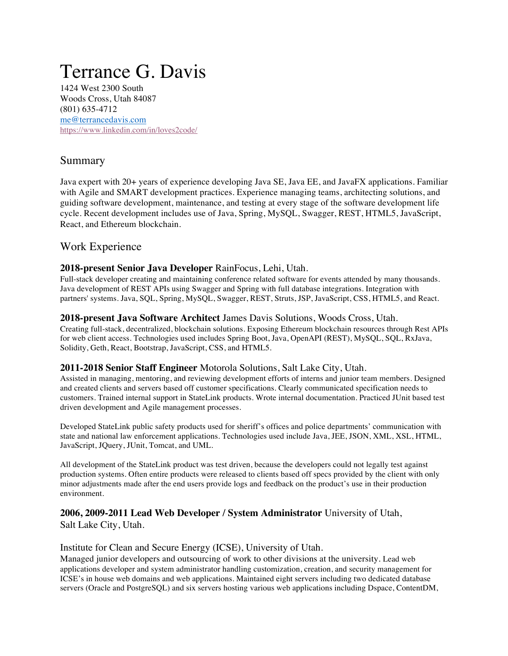# Terrance G. Davis

1424 West 2300 South Woods Cross, Utah 84087 (801) 635-4712 me@terrancedavis.com https://www.linkedin.com/in/loves2code/

# Summary

Java expert with 20+ years of experience developing Java SE, Java EE, and JavaFX applications. Familiar with Agile and SMART development practices. Experience managing teams, architecting solutions, and guiding software development, maintenance, and testing at every stage of the software development life cycle. Recent development includes use of Java, Spring, MySQL, Swagger, REST, HTML5, JavaScript, React, and Ethereum blockchain.

# Work Experience

## **2018-present Senior Java Developer** RainFocus, Lehi, Utah.

Full-stack developer creating and maintaining conference related software for events attended by many thousands. Java development of REST APIs using Swagger and Spring with full database integrations. Integration with partners' systems. Java, SQL, Spring, MySQL, Swagger, REST, Struts, JSP, JavaScript, CSS, HTML5, and React.

#### **2018-present Java Software Architect** James Davis Solutions, Woods Cross, Utah.

Creating full-stack, decentralized, blockchain solutions. Exposing Ethereum blockchain resources through Rest APIs for web client access. Technologies used includes Spring Boot, Java, OpenAPI (REST), MySQL, SQL, RxJava, Solidity, Geth, React, Bootstrap, JavaScript, CSS, and HTML5.

#### **2011-2018 Senior Staff Engineer** Motorola Solutions, Salt Lake City, Utah.

Assisted in managing, mentoring, and reviewing development efforts of interns and junior team members. Designed and created clients and servers based off customer specifications. Clearly communicated specification needs to customers. Trained internal support in StateLink products. Wrote internal documentation. Practiced JUnit based test driven development and Agile management processes.

Developed StateLink public safety products used for sheriff's offices and police departments' communication with state and national law enforcement applications. Technologies used include Java, JEE, JSON, XML, XSL, HTML, JavaScript, JQuery, JUnit, Tomcat, and UML.

All development of the StateLink product was test driven, because the developers could not legally test against production systems. Often entire products were released to clients based off specs provided by the client with only minor adjustments made after the end users provide logs and feedback on the product's use in their production environment.

#### **2006, 2009-2011 Lead Web Developer / System Administrator** University of Utah, Salt Lake City, Utah.

#### Institute for Clean and Secure Energy (ICSE), University of Utah.

Managed junior developers and outsourcing of work to other divisions at the university. Lead web applications developer and system administrator handling customization, creation, and security management for ICSE's in house web domains and web applications. Maintained eight servers including two dedicated database servers (Oracle and PostgreSQL) and six servers hosting various web applications including Dspace, ContentDM,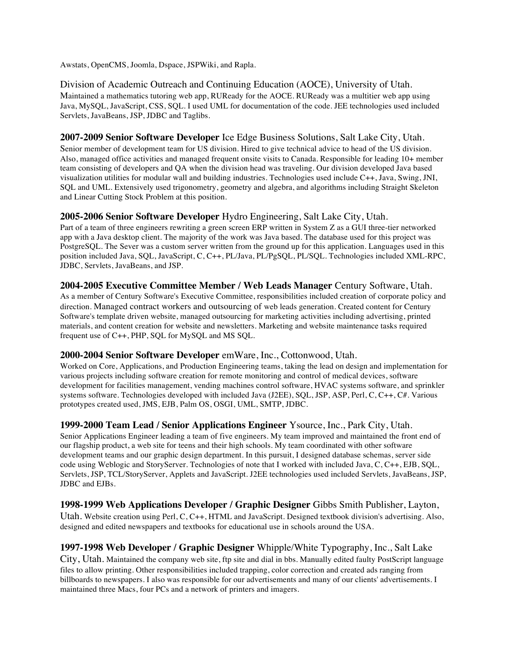Awstats, OpenCMS, Joomla, Dspace, JSPWiki, and Rapla.

Division of Academic Outreach and Continuing Education (AOCE), University of Utah. Maintained a mathematics tutoring web app, RUReady for the AOCE. RUReady was a multitier web app using Java, MySQL, JavaScript, CSS, SQL. I used UML for documentation of the code. JEE technologies used included Servlets, JavaBeans, JSP, JDBC and Taglibs.

#### **2007-2009 Senior Software Developer** Ice Edge Business Solutions, Salt Lake City, Utah.

Senior member of development team for US division. Hired to give technical advice to head of the US division. Also, managed office activities and managed frequent onsite visits to Canada. Responsible for leading 10+ member team consisting of developers and QA when the division head was traveling. Our division developed Java based visualization utilities for modular wall and building industries. Technologies used include C++, Java, Swing, JNI, SQL and UML. Extensively used trigonometry, geometry and algebra, and algorithms including Straight Skeleton and Linear Cutting Stock Problem at this position.

#### **2005-2006 Senior Software Developer** Hydro Engineering, Salt Lake City, Utah.

Part of a team of three engineers rewriting a green screen ERP written in System Z as a GUI three-tier networked app with a Java desktop client. The majority of the work was Java based. The database used for this project was PostgreSQL. The Sever was a custom server written from the ground up for this application. Languages used in this position included Java, SQL, JavaScript, C, C++, PL/Java, PL/PgSQL, PL/SQL. Technologies included XML-RPC, JDBC, Servlets, JavaBeans, and JSP.

**2004-2005 Executive Committee Member / Web Leads Manager** Century Software, Utah. As a member of Century Software's Executive Committee, responsibilities included creation of corporate policy and direction. Managed contract workers and outsourcing of web leads generation. Created content for Century Software's template driven website, managed outsourcing for marketing activities including advertising, printed materials, and content creation for website and newsletters. Marketing and website maintenance tasks required frequent use of C++, PHP, SQL for MySQL and MS SQL.

#### **2000-2004 Senior Software Developer** emWare, Inc., Cottonwood, Utah.

Worked on Core, Applications, and Production Engineering teams, taking the lead on design and implementation for various projects including software creation for remote monitoring and control of medical devices, software development for facilities management, vending machines control software, HVAC systems software, and sprinkler systems software. Technologies developed with included Java (J2EE), SQL, JSP, ASP, Perl, C, C++, C#. Various prototypes created used, JMS, EJB, Palm OS, OSGI, UML, SMTP, JDBC.

**1999-2000 Team Lead / Senior Applications Engineer** Ysource, Inc., Park City, Utah. Senior Applications Engineer leading a team of five engineers. My team improved and maintained the front end of our flagship product, a web site for teens and their high schools. My team coordinated with other software development teams and our graphic design department. In this pursuit, I designed database schemas, server side code using Weblogic and StoryServer. Technologies of note that I worked with included Java, C, C++, EJB, SQL, Servlets, JSP, TCL/StoryServer, Applets and JavaScript. J2EE technologies used included Servlets, JavaBeans, JSP, JDBC and EJBs.

**1998-1999 Web Applications Developer / Graphic Designer** Gibbs Smith Publisher, Layton, Utah. Website creation using Perl, C, C++, HTML and JavaScript. Designed textbook division's advertising. Also, designed and edited newspapers and textbooks for educational use in schools around the USA.

#### **1997-1998 Web Developer / Graphic Designer** Whipple/White Typography, Inc., Salt Lake

City, Utah. Maintained the company web site, ftp site and dial in bbs. Manually edited faulty PostScript language files to allow printing. Other responsibilities included trapping, color correction and created ads ranging from billboards to newspapers. I also was responsible for our advertisements and many of our clients' advertisements. I maintained three Macs, four PCs and a network of printers and imagers.